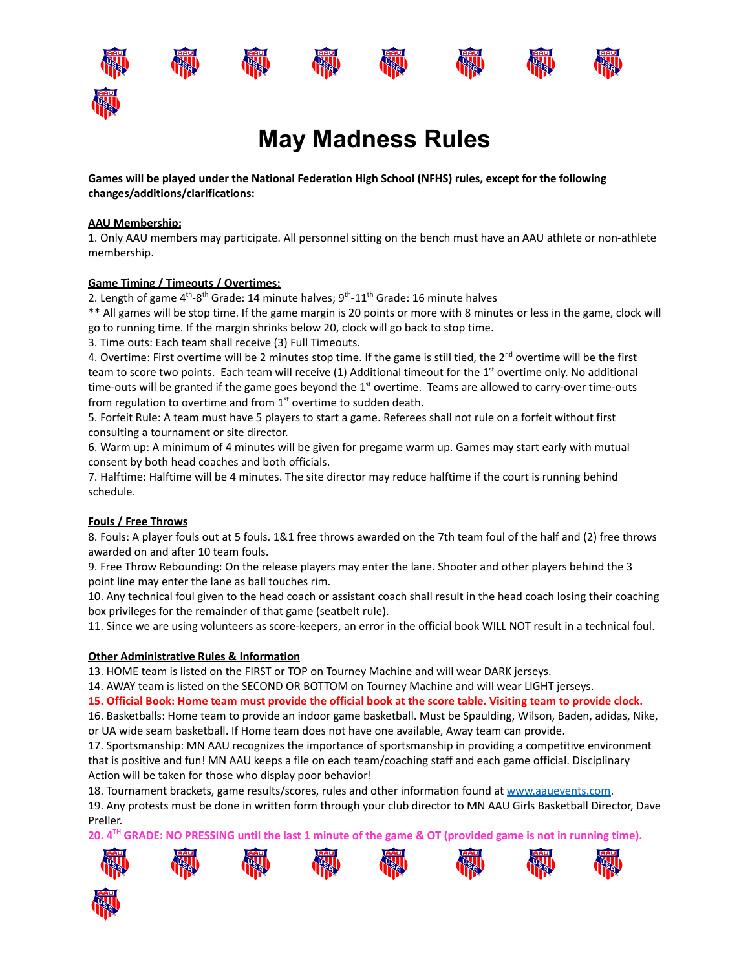













**Games will be played under the National Federation High School (NFHS) rules, except for the following changes/additions/clarifications:**

## **AAU Membership:**

1. Only AAU members may participate. All personnel sitting on the bench must have an AAU athlete or non-athlete membership.

## **Game Timing / Timeouts / Overtimes:**

2. Length of game 4<sup>th</sup>-8<sup>th</sup> Grade: 14 minute halves; 9<sup>th</sup>-11<sup>th</sup> Grade: 16 minute halves

\*\* All games will be stop time. If the game margin is 20 points or more with 8 minutes or less in the game, clock will go to running time. If the margin shrinks below 20, clock will go back to stop time.

3. Time outs: Each team shall receive (3) Full Timeouts.

4. Overtime: First overtime will be 2 minutes stop time. If the game is still tied, the 2<sup>nd</sup> overtime will be the first team to score two points. Each team will receive (1) Additional timeout for the 1<sup>st</sup> overtime only. No additional time-outs will be granted if the game goes beyond the 1<sup>st</sup> overtime. Teams are allowed to carry-over time-outs from regulation to overtime and from  $1<sup>st</sup>$  overtime to sudden death.

5. Forfeit Rule: A team must have 5 players to start a game. Referees shall not rule on a forfeit without first consulting a tournament or site director.

6. Warm up: A minimum of 4 minutes will be given for pregame warm up. Games may start early with mutual consent by both head coaches and both officials.

7. Halftime: Halftime will be 4 minutes. The site director may reduce halftime if the court is running behind schedule.

## **Fouls / Free Throws**

8. Fouls: A player fouls out at 5 fouls. 1&1 free throws awarded on the 7th team foul of the half and (2) free throws awarded on and after 10 team fouls.

9. Free Throw Rebounding: On the release players may enter the lane. Shooter and other players behind the 3 point line may enter the lane as ball touches rim.

10. Any technical foul given to the head coach or assistant coach shall result in the head coach losing their coaching box privileges for the remainder of that game (seatbelt rule).

11. Since we are using volunteers as score-keepers, an error in the official book WILL NOT result in a technical foul.

## **Other Administrative Rules & Information**

13. HOME team is listed on the FIRST or TOP on Tourney Machine and will wear DARK jerseys.

14. AWAY team is listed on the SECOND OR BOTTOM on Tourney Machine and will wear LIGHT jerseys.

15. Official Book: Home team must provide the official book at the score table. Visiting team to provide clock.

16. Basketballs: Home team to provide an indoor game basketball. Must be Spaulding, Wilson, Baden, adidas, Nike, or UA wide seam basketball. If Home team does not have one available, Away team can provide.

17. Sportsmanship: MN AAU recognizes the importance of sportsmanship in providing a competitive environment that is positive and fun! MN AAU keeps a file on each team/coaching staff and each game official. Disciplinary Action will be taken for those who display poor behavior!

18. Tournament brackets, game results/scores, rules and other information found at [www.aauevents.com.](http://www.aauevents.com)

19. Any protests must be done in written form through your club director to MN AAU Girls Basketball Director, Dave Preller.

20. 4<sup>™</sup> GRADE: NO PRESSING until the last 1 minute of the game & OT (provided game is not in running time).